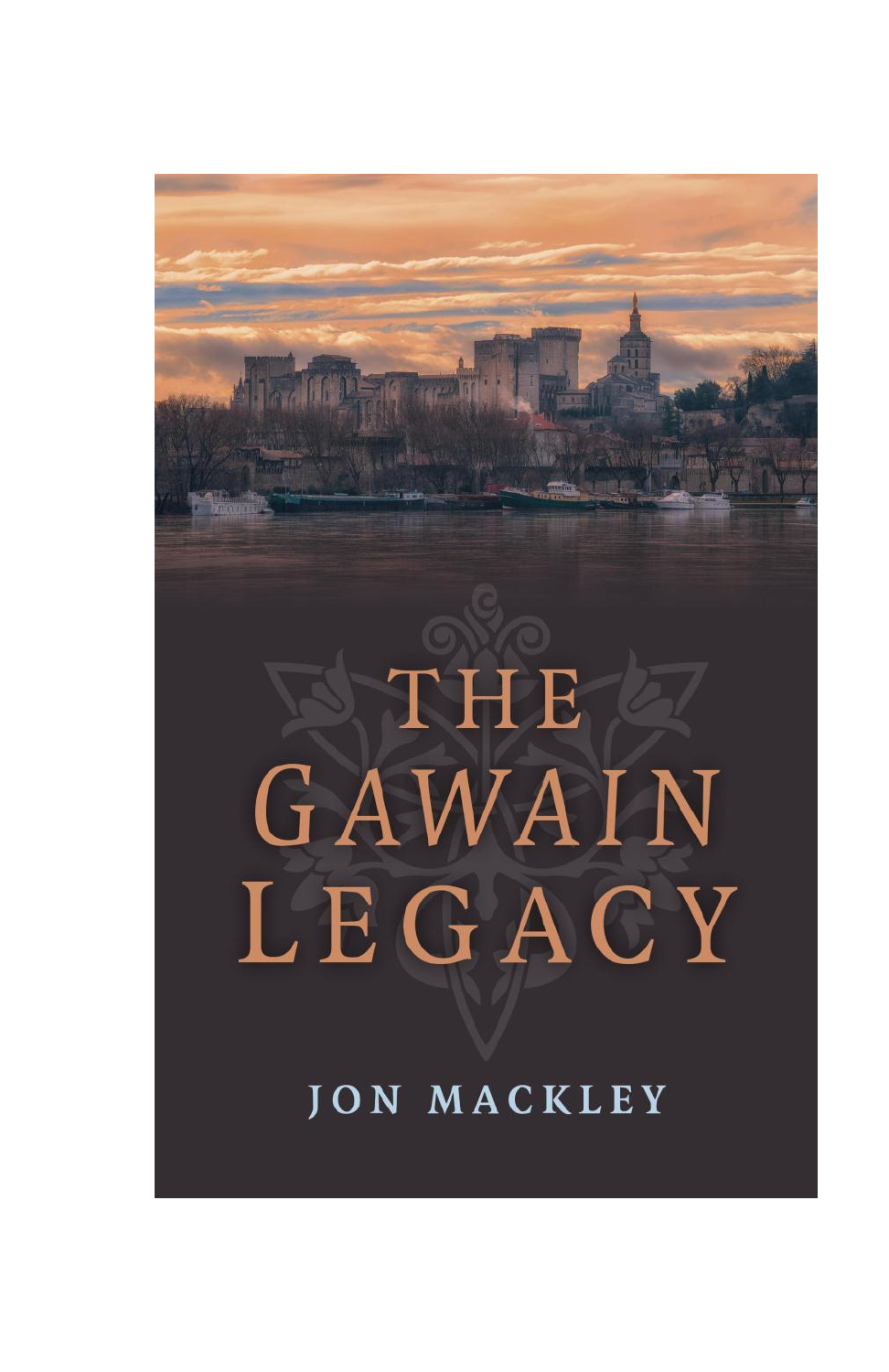## THE GAWAIN LEGACY **JON MACKLEY**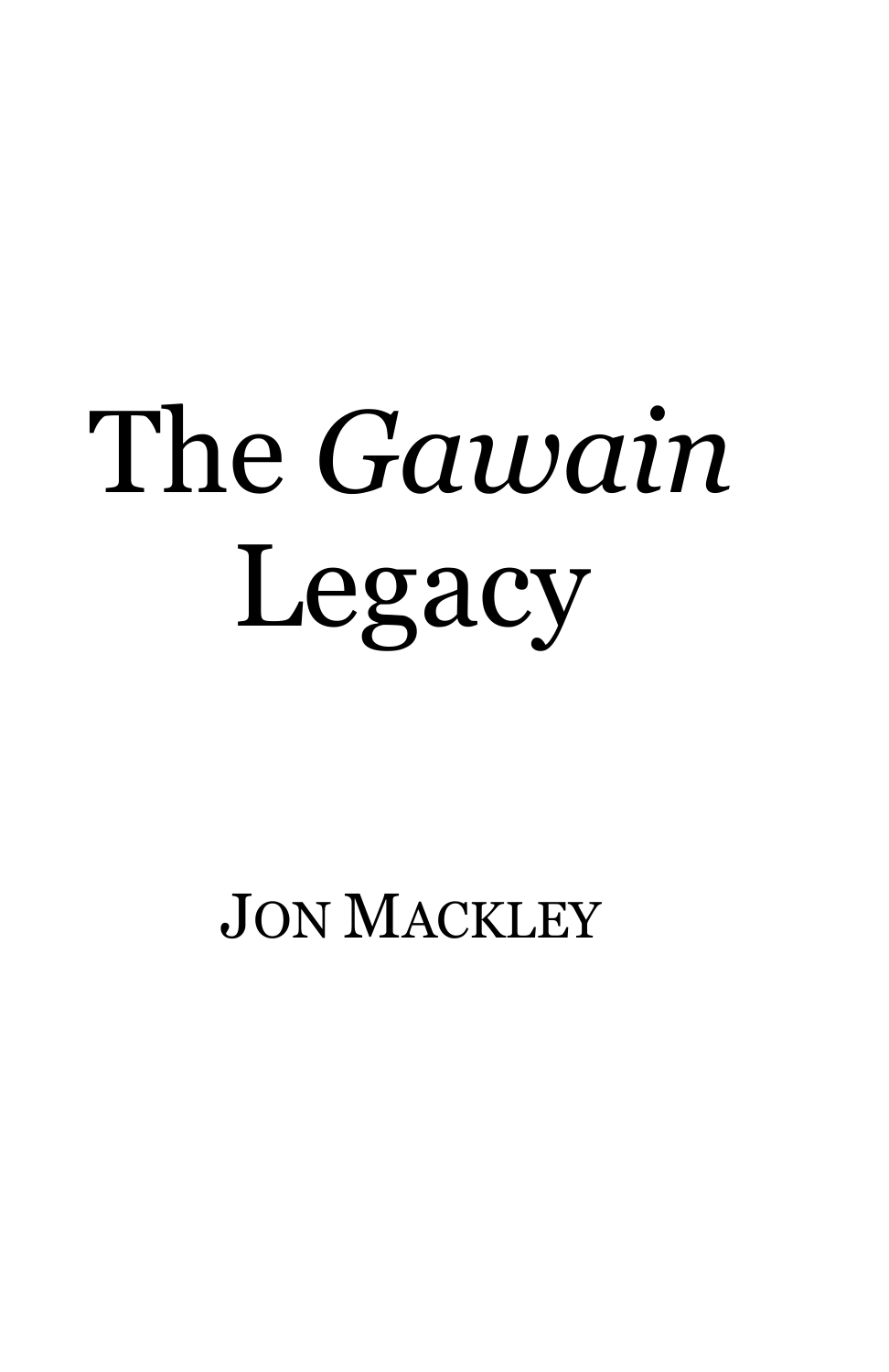## The *Gawain*  Legacy

JON MACKLEY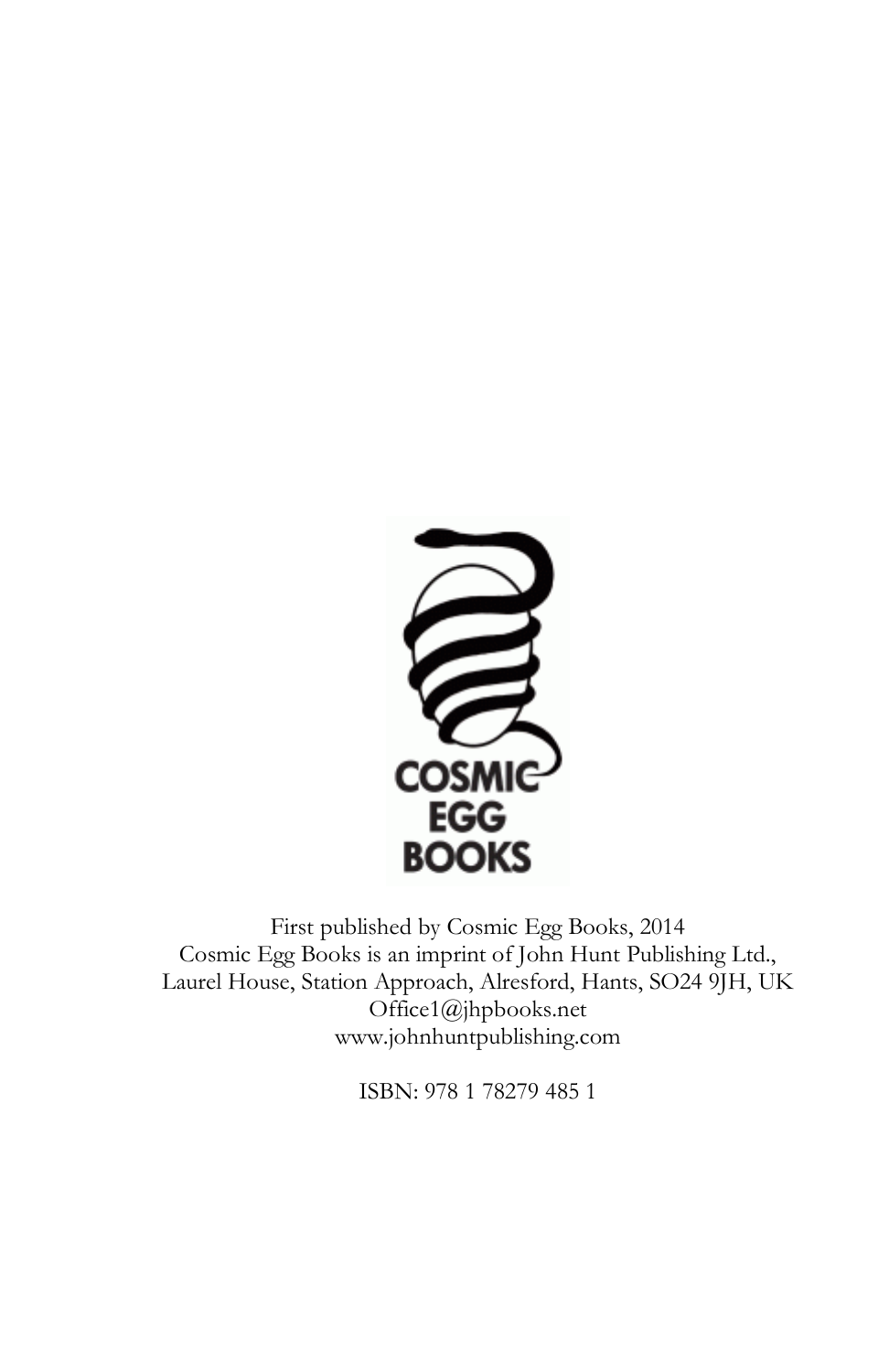

First published by Cosmic Egg Books, 2014 Cosmic Egg Books is an imprint of John Hunt Publishing Ltd., Laurel House, Station Approach, Alresford, Hants, SO24 9JH, UK Office1@jhpbooks.net www.johnhuntpublishing.com

ISBN: 978 1 78279 485 1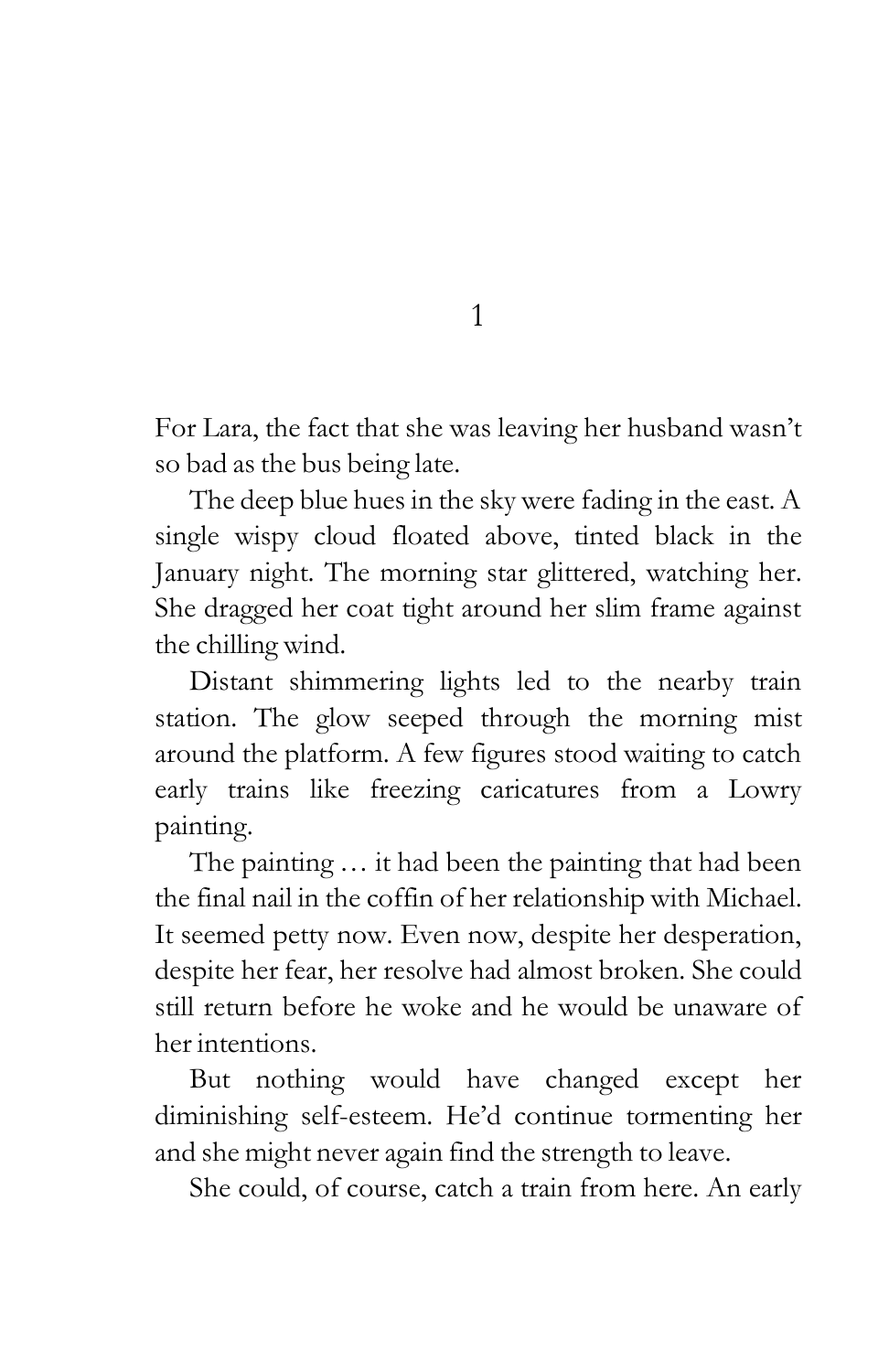For Lara, the fact that she was leaving her husband wasn't so bad as the bus being late.

The deep blue hues in the sky were fading in the east. A single wispy cloud floated above, tinted black in the January night. The morning star glittered, watching her. She dragged her coat tight around her slim frame against the chilling wind.

Distant shimmering lights led to the nearby train station. The glow seeped through the morning mist around the platform. A few figures stood waiting to catch early trains like freezing caricatures from a Lowry painting.

The painting … it had been the painting that had been the final nail in the coffin of her relationship with Michael. It seemed petty now. Even now, despite her desperation, despite her fear, her resolve had almost broken. She could still return before he woke and he would be unaware of her intentions.

But nothing would have changed except her diminishing self-esteem. He'd continue tormenting her and she might never again find the strength to leave.

She could, of course, catch a train from here. An early

1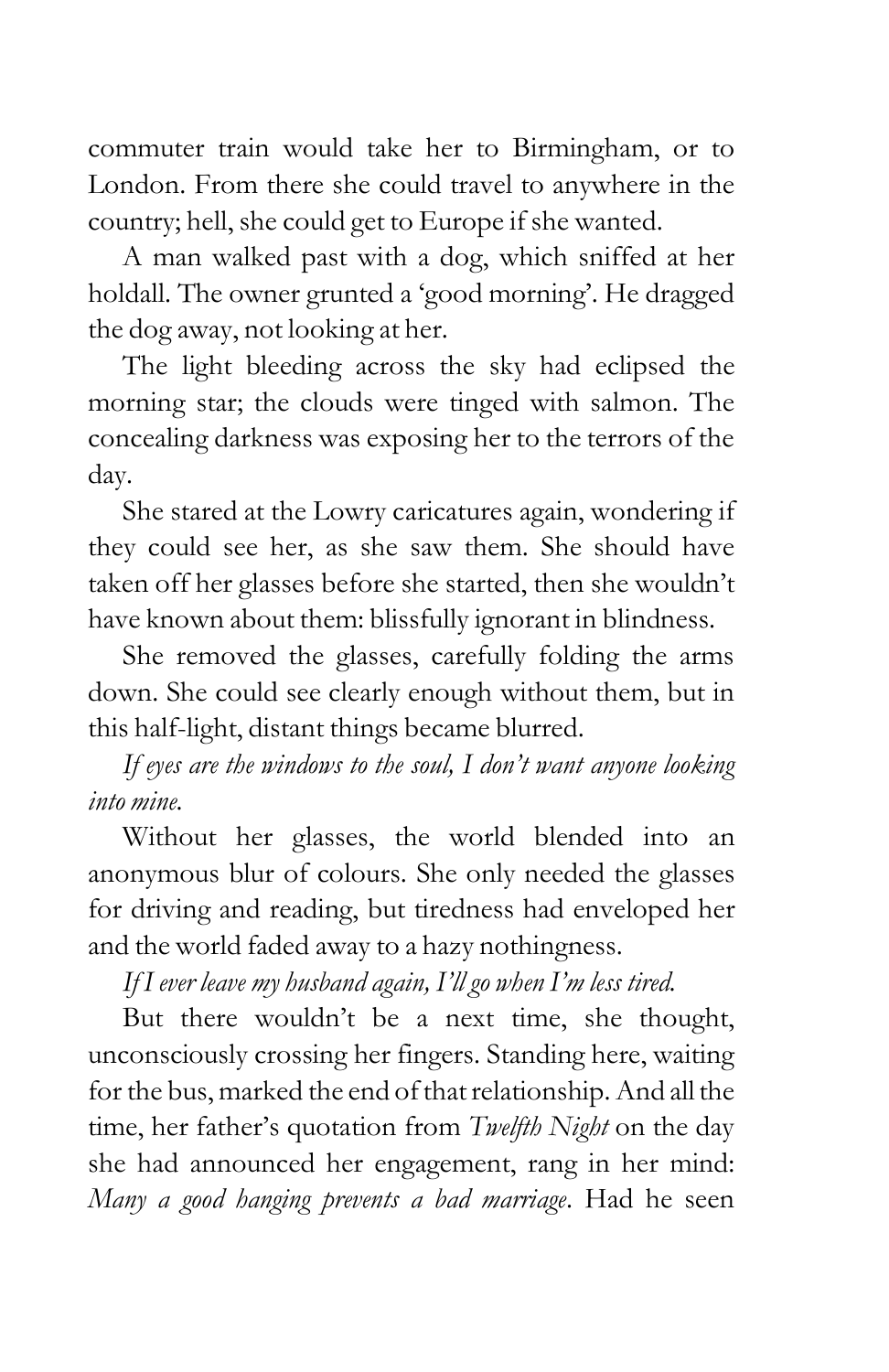commuter train would take her to Birmingham, or to London. From there she could travel to anywhere in the country; hell, she could get to Europe if she wanted.

A man walked past with a dog, which sniffed at her holdall. The owner grunted a 'good morning'. He dragged the dog away, not looking at her.

The light bleeding across the sky had eclipsed the morning star; the clouds were tinged with salmon. The concealing darkness was exposing her to the terrors of the day.

She stared at the Lowry caricatures again, wondering if they could see her, as she saw them. She should have taken off her glasses before she started, then she wouldn't have known about them: blissfully ignorant in blindness.

She removed the glasses, carefully folding the arms down. She could see clearly enough without them, but in this half-light, distant things became blurred.

*If eyes are the windows to the soul, I don't want anyone looking into mine.*

Without her glasses, the world blended into an anonymous blur of colours. She only needed the glasses for driving and reading, but tiredness had enveloped her and the world faded away to a hazy nothingness.

*If I ever leave my husband again, I'll go when I'm less tired.*

But there wouldn't be a next time, she thought, unconsciously crossing her fingers. Standing here, waiting for the bus, marked the end of that relationship. And all the time, her father's quotation from *Twelfth Night* on the day she had announced her engagement, rang in her mind: *Many a good hanging prevents a bad marriage*. Had he seen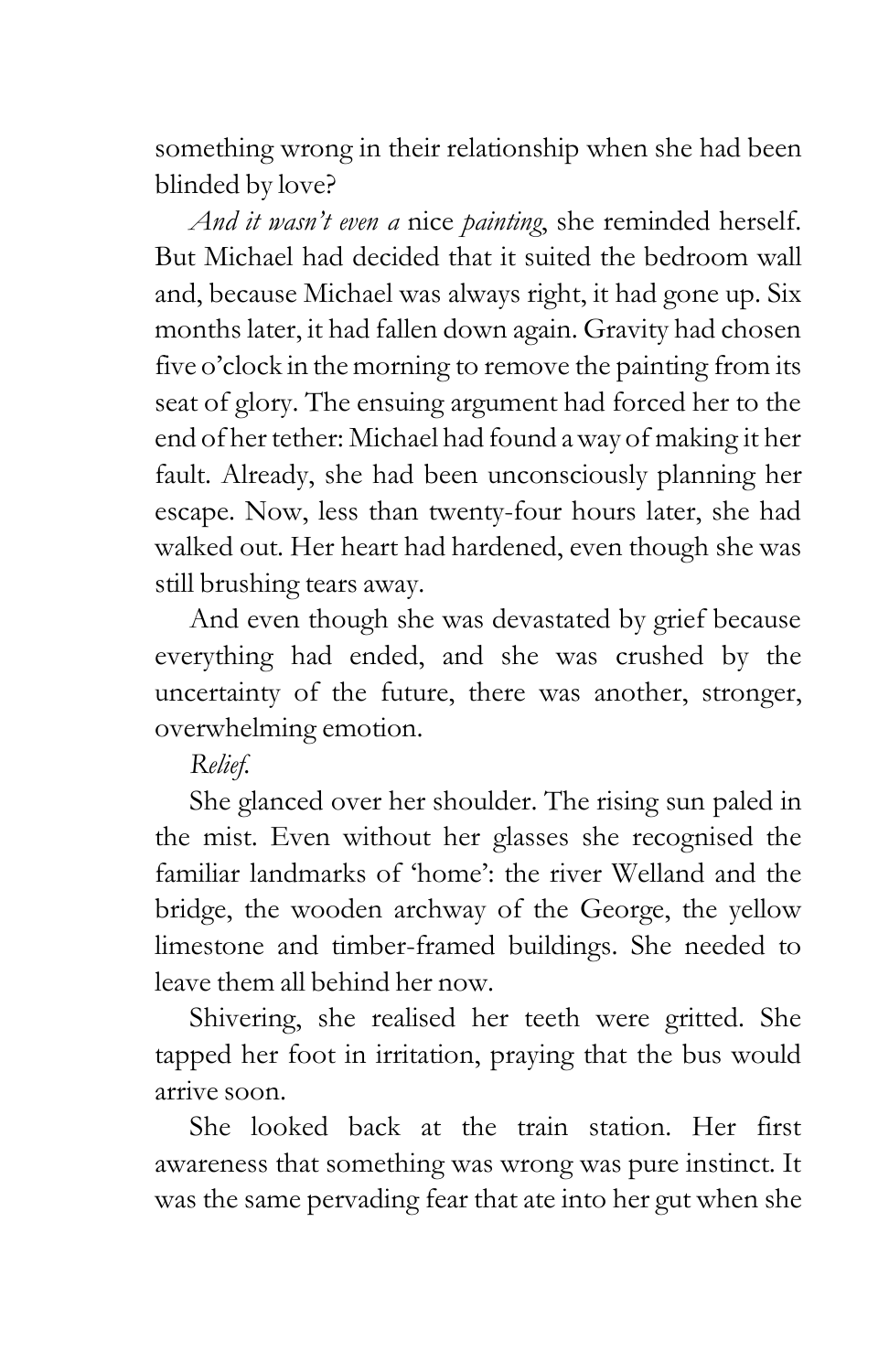something wrong in their relationship when she had been blinded by love?

*And it wasn't even a* nice *painting*, she reminded herself. But Michael had decided that it suited the bedroom wall and, because Michael was always right, it had gone up. Six months later, it had fallen down again. Gravity had chosen five o'clock in the morning to remove the painting from its seat of glory. The ensuing argument had forced her to the end of her tether: Michael had found a way of making it her fault. Already, she had been unconsciously planning her escape. Now, less than twenty-four hours later, she had walked out. Her heart had hardened, even though she was still brushing tears away.

And even though she was devastated by grief because everything had ended, and she was crushed by the uncertainty of the future, there was another, stronger, overwhelming emotion.

*Relief.*

She glanced over her shoulder. The rising sun paled in the mist. Even without her glasses she recognised the familiar landmarks of 'home': the river Welland and the bridge, the wooden archway of the George, the yellow limestone and timber-framed buildings. She needed to leave them all behind her now.

Shivering, she realised her teeth were gritted. She tapped her foot in irritation, praying that the bus would arrive soon.

She looked back at the train station. Her first awareness that something was wrong was pure instinct. It was the same pervading fear that ate into her gut when she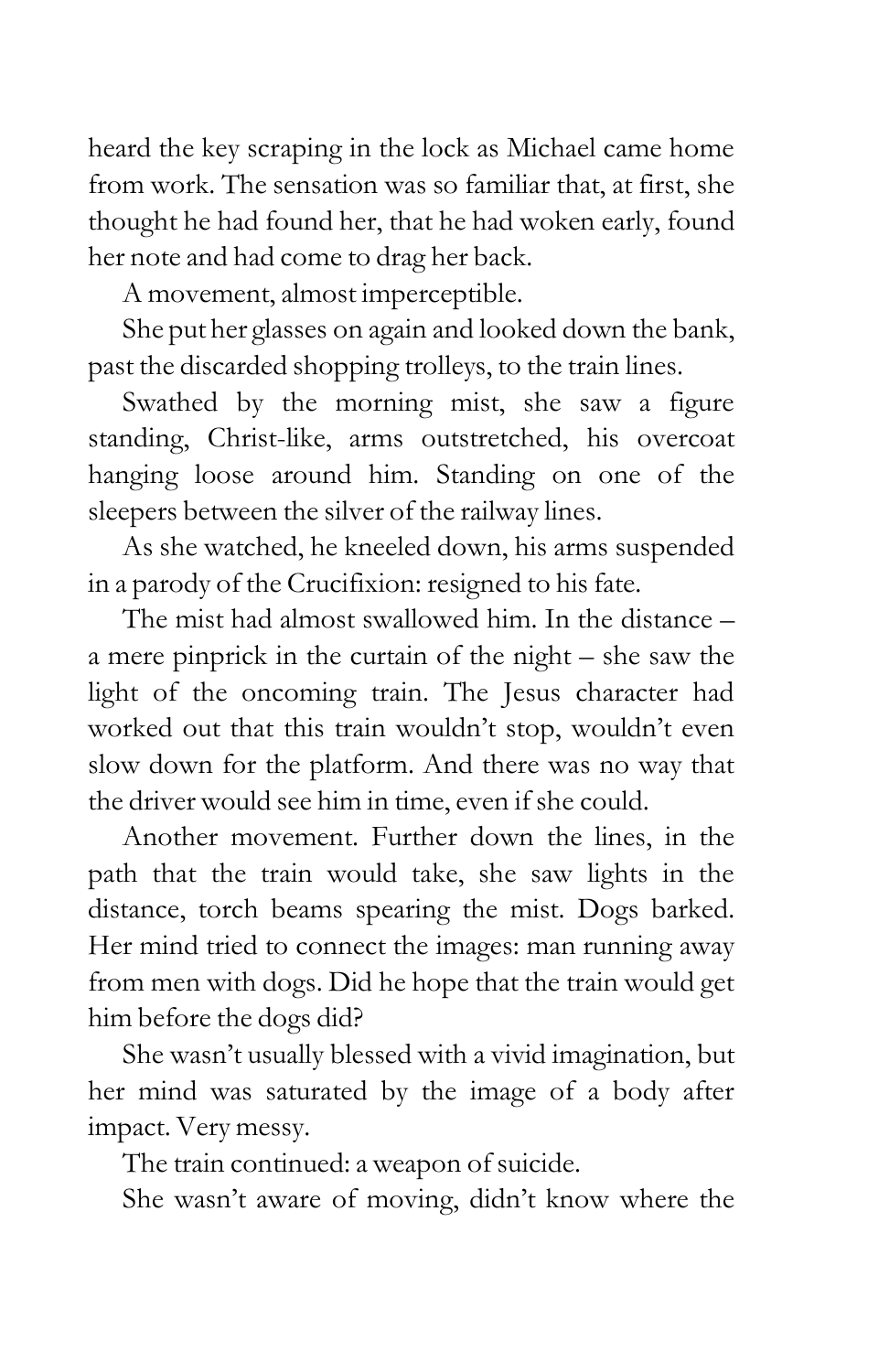heard the key scraping in the lock as Michael came home from work. The sensation was so familiar that, at first, she thought he had found her, that he had woken early, found her note and had come to drag her back.

A movement, almost imperceptible.

She put her glasses on again and looked down the bank, past the discarded shopping trolleys, to the train lines.

Swathed by the morning mist, she saw a figure standing, Christ-like, arms outstretched, his overcoat hanging loose around him. Standing on one of the sleepers between the silver of the railway lines.

As she watched, he kneeled down, his arms suspended in a parody of the Crucifixion: resigned to his fate.

The mist had almost swallowed him. In the distance – a mere pinprick in the curtain of the night – she saw the light of the oncoming train. The Jesus character had worked out that this train wouldn't stop, wouldn't even slow down for the platform. And there was no way that the driver would see him in time, even if she could.

Another movement. Further down the lines, in the path that the train would take, she saw lights in the distance, torch beams spearing the mist. Dogs barked. Her mind tried to connect the images: man running away from men with dogs. Did he hope that the train would get him before the dogs did?

She wasn't usually blessed with a vivid imagination, but her mind was saturated by the image of a body after impact. Very messy.

The train continued: a weapon of suicide.

She wasn't aware of moving, didn't know where the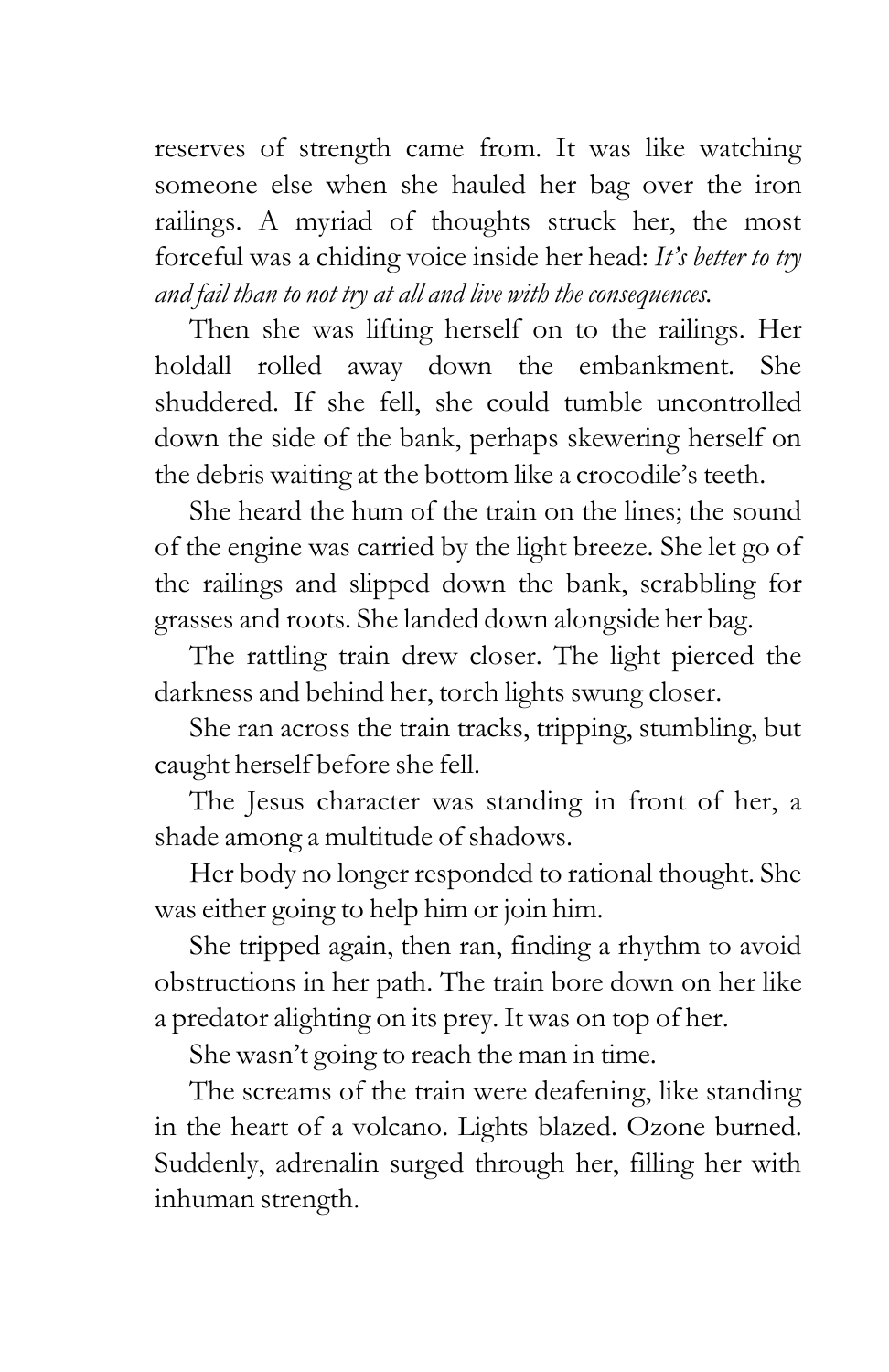reserves of strength came from. It was like watching someone else when she hauled her bag over the iron railings. A myriad of thoughts struck her, the most forceful was a chiding voice inside her head: *It's better to try and fail than to not try at all and live with the consequences.*

Then she was lifting herself on to the railings. Her holdall rolled away down the embankment. She shuddered. If she fell, she could tumble uncontrolled down the side of the bank, perhaps skewering herself on the debris waiting at the bottom like a crocodile's teeth.

She heard the hum of the train on the lines; the sound of the engine was carried by the light breeze. She let go of the railings and slipped down the bank, scrabbling for grasses and roots. She landed down alongside her bag.

The rattling train drew closer. The light pierced the darkness and behind her, torch lights swung closer.

She ran across the train tracks, tripping, stumbling, but caught herself before she fell.

The Jesus character was standing in front of her, a shade among a multitude of shadows.

Her body no longer responded to rational thought. She was either going to help him or join him.

She tripped again, then ran, finding a rhythm to avoid obstructions in her path. The train bore down on her like a predator alighting on its prey. It was on top of her.

She wasn't going to reach the man in time.

The screams of the train were deafening, like standing in the heart of a volcano. Lights blazed. Ozone burned. Suddenly, adrenalin surged through her, filling her with inhuman strength.